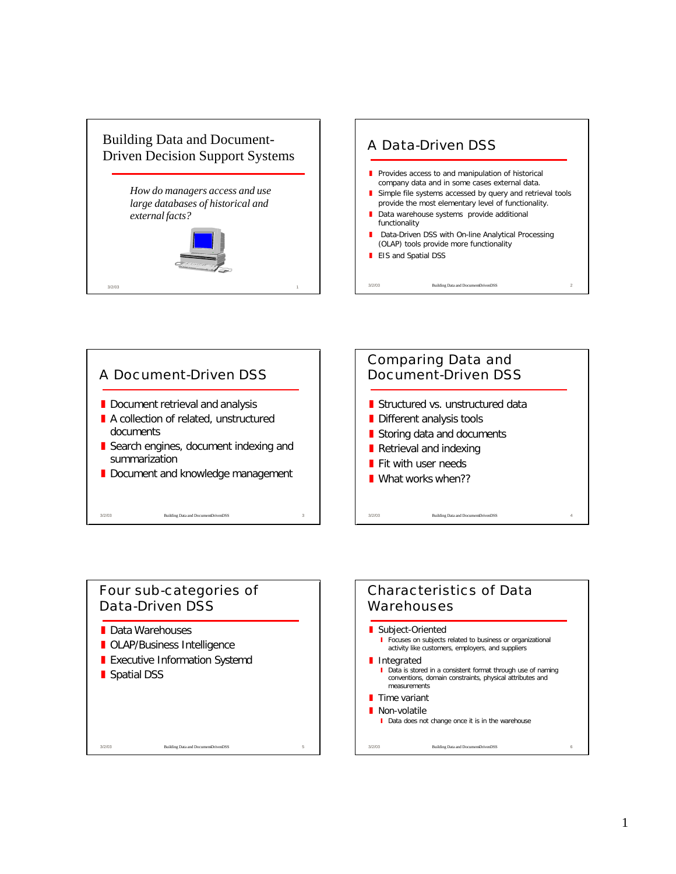



### Four sub-categories of Data-Driven DSS

- Data Warehouses
- **D** OLAP/Business Intelligence

- **Executive Information Systemd**
- **Spatial DSS**

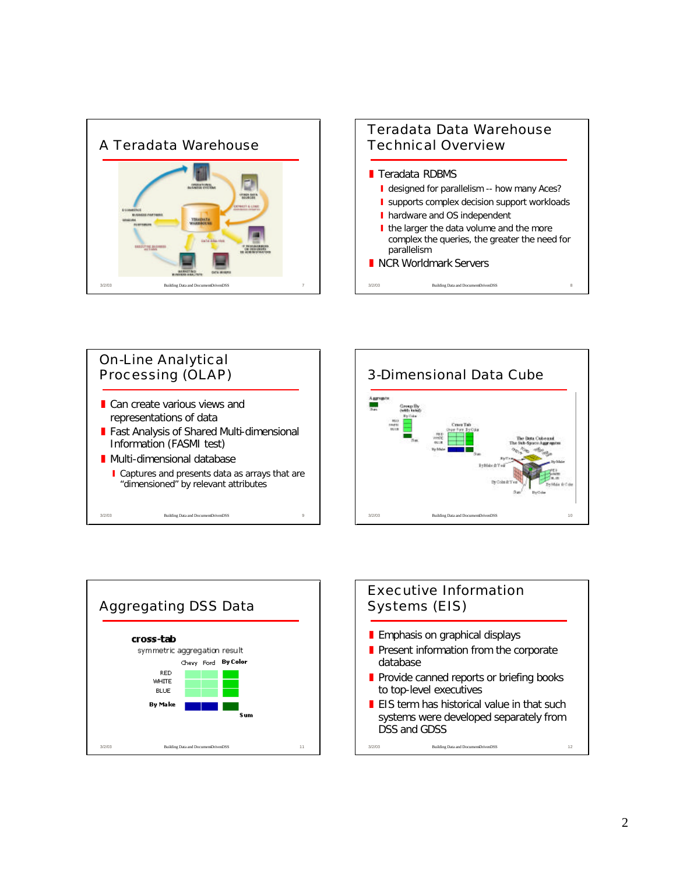











 $\blacksquare$  EIS term has historical value in that such systems were developed separately from DSS and GDSS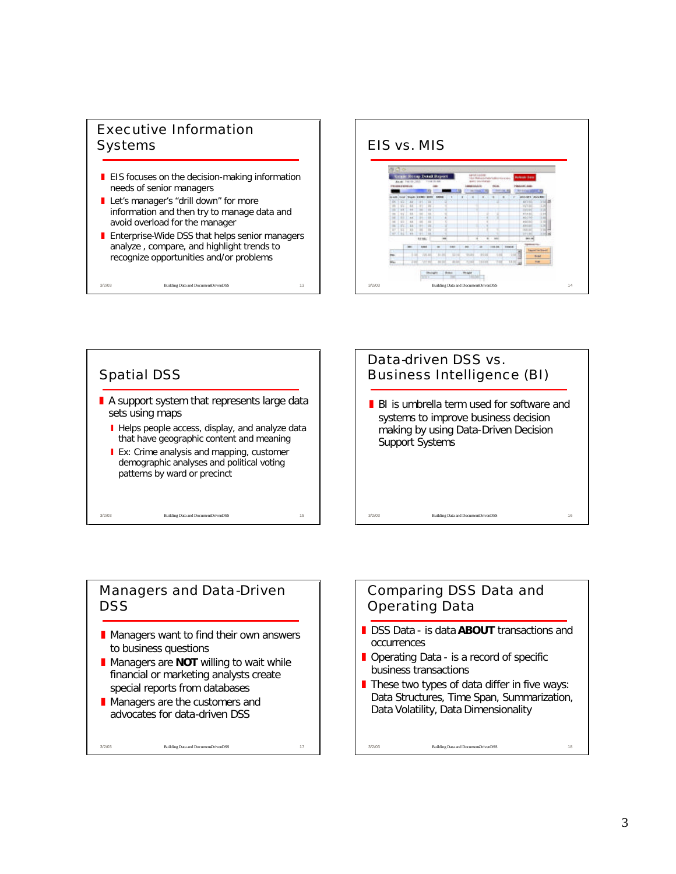# Executive Information **Systems**

- $\blacksquare$  EIS focuses on the decision-making information needs of senior managers
- Let's manager's "drill down" for more information and then try to manage data and avoid overload for the manager
- **F** Enterprise-Wide DSS that helps senior managers analyze , compare, and highlight trends to recognize opportunities and/or problems

3/2/03 Building Data and Document-Driven DSS 13







### Managers and Data-Driven DSS

- $\blacksquare$  Managers want to find their own answers to business questions
- **E** Managers are **NOT** willing to wait while financial or marketing analysts create special reports from databases

3/2/03 Building Data and Document-Driven DSS 17

Managers are the customers and advocates for data-driven DSS

# Comparing DSS Data and Operating Data

- **DSS Data is data ABOUT** transactions and occurrences
- $\blacksquare$  Operating Data is a record of specific business transactions
- $\blacksquare$  These two types of data differ in five ways: Data Structures, Time Span, Summarization, Data Volatility, Data Dimensionality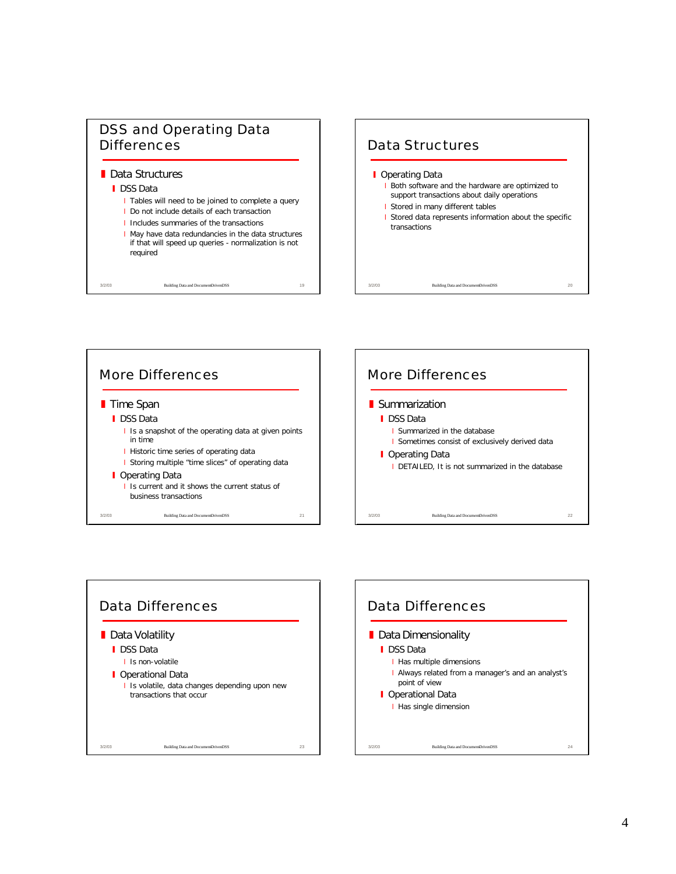

#### **Data Structures**

#### **I** DSS Data

- I Tables will need to be joined to complete a query
- I Do not include details of each transaction
- I Includes summaries of the transactions I May have data redundancies in the data structures

3/2/03 Building Data and Document-Driven DSS 19

if that will speed up queries - normalization is not required







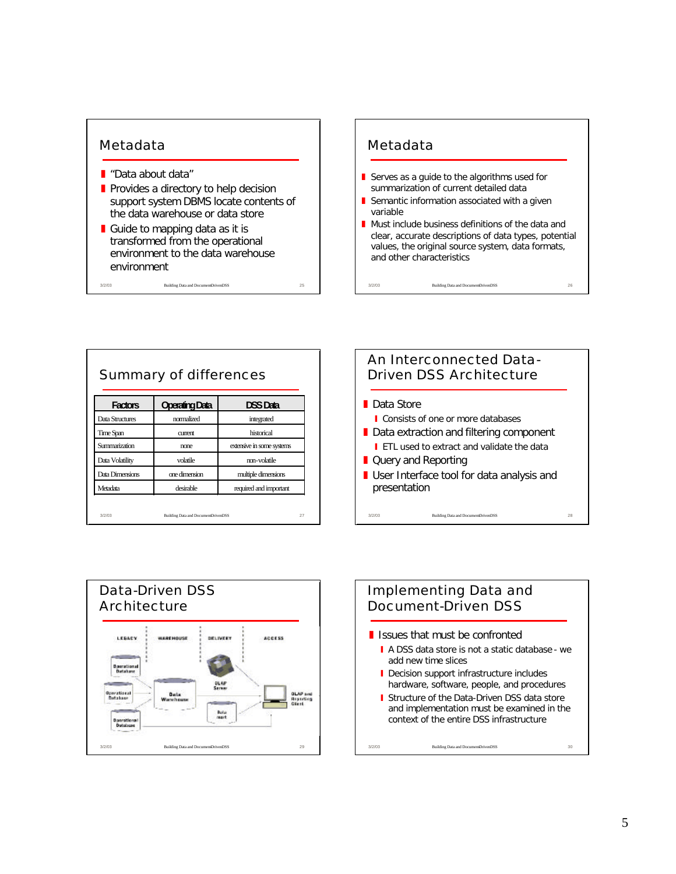### Metadata

- "Data about data"
- Provides a directory to help decision support system DBMS locate contents of the data warehouse or data store
- Guide to mapping data as it is transformed from the operational environment to the data warehouse environment

3/2/03 Building Data and Document-Driven DSS 25

#### Metadata

- Serves as a guide to the algorithms used for summarization of current detailed data
- Semantic information associated with a given variable
- $\blacksquare$  Must include business definitions of the data and clear, accurate descriptions of data types, potential values, the original source system, data formats, and other characteristics

| <b>Factors</b>  | <b>Operating Data</b> | <b>DSS Data</b>           |
|-----------------|-----------------------|---------------------------|
| Data Structures | normalized            | integrated                |
| Time Span       | current               | historical                |
| Summarization   | none                  | extensive in some systems |
| Data Volatility | volatile              | non-volatile              |
| Data Dimensions | one dimension         | multiple dimensions       |
| Metadata        | desirable             | required and important    |





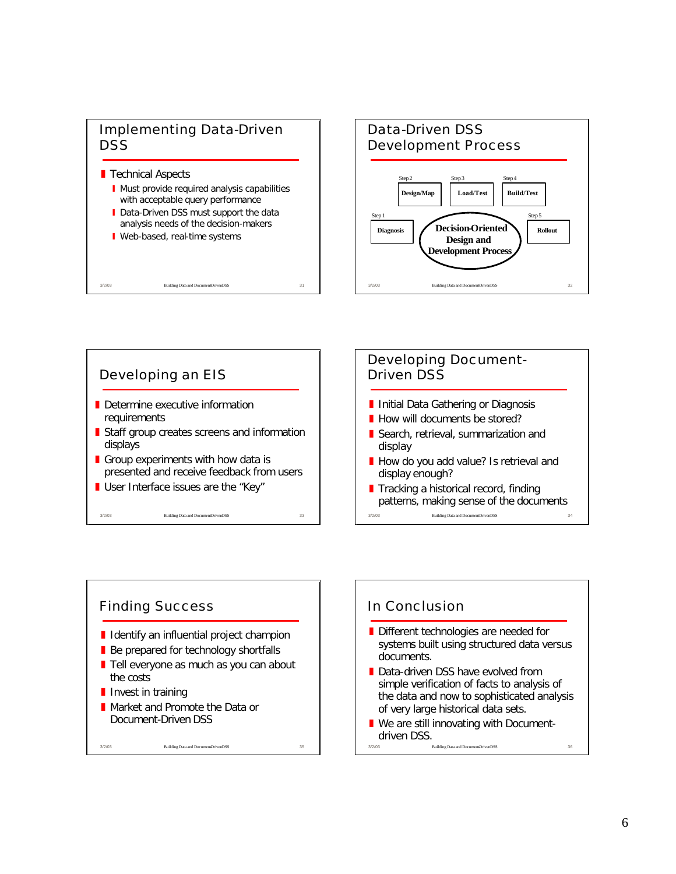## Implementing Data-Driven **DSS**

#### **T** Technical Aspects

**I** Must provide required analysis capabilities with acceptable query performance

3/2/03 Building Data and Document-Driven DSS 31

- Data-Driven DSS must support the data analysis needs of the decision-makers
- **Veb-based, real-time systems**







## In Conclusion

- Different technologies are needed for systems built using structured data versus documents.
- Data-driven DSS have evolved from simple verification of facts to analysis of the data and now to sophisticated analysis of very large historical data sets.
- Building Data and DocumentDrivenDSS  $\blacksquare$  We are still innovating with Documentdriven DSS.